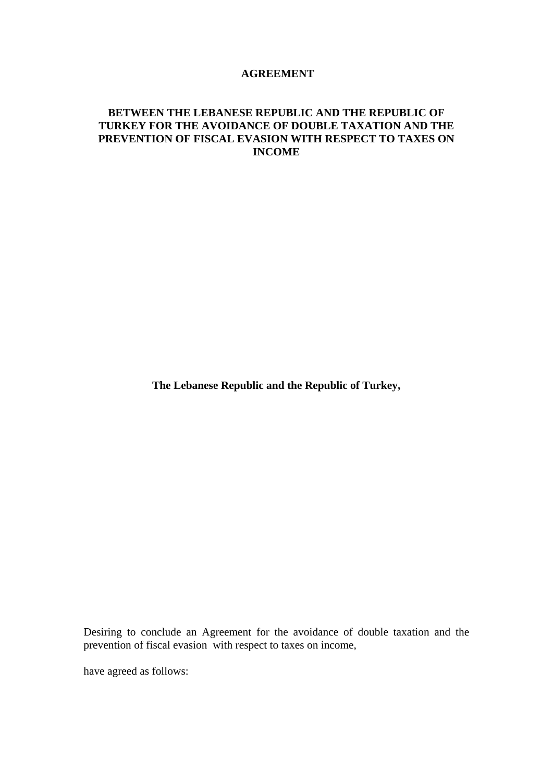#### **AGREEMENT**

# **BETWEEN THE LEBANESE REPUBLIC AND THE REPUBLIC OF TURKEY FOR THE AVOIDANCE OF DOUBLE TAXATION AND THE PREVENTION OF FISCAL EVASION WITH RESPECT TO TAXES ON INCOME**

**The Lebanese Republic and the Republic of Turkey,** 

Desiring to conclude an Agreement for the avoidance of double taxation and the prevention of fiscal evasion with respect to taxes on income,

have agreed as follows: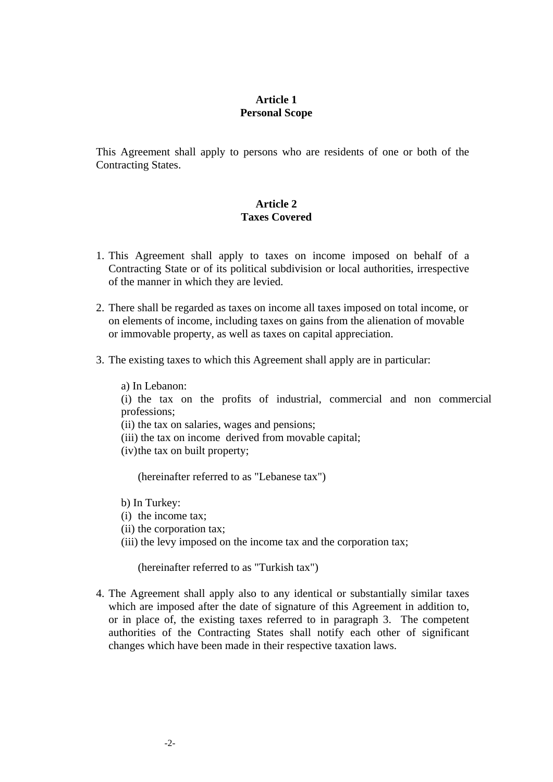## **Article 1 Personal Scope**

 This Agreement shall apply to persons who are residents of one or both of the Contracting States.

## **Article 2 Taxes Covered**

- 1. This Agreement shall apply to taxes on income imposed on behalf of a Contracting State or of its political subdivision or local authorities, irrespective of the manner in which they are levied.
- 2. There shall be regarded as taxes on income all taxes imposed on total income, or on elements of income, including taxes on gains from the alienation of movable or immovable property, as well as taxes on capital appreciation.
- 3. The existing taxes to which this Agreement shall apply are in particular:
	- a) In Lebanon:

(i) the tax on the profits of industrial, commercial and non commercial professions;

(ii) the tax on salaries, wages and pensions;

(iii) the tax on income derived from movable capital;

(iv) the tax on built property;

(hereinafter referred to as "Lebanese tax")

- b) In Turkey:
- (i) the income tax;
- (ii) the corporation tax;
- (iii) the levy imposed on the income tax and the corporation tax;

(hereinafter referred to as "Turkish tax")

 4. The Agreement shall apply also to any identical or substantially similar taxes which are imposed after the date of signature of this Agreement in addition to, or in place of, the existing taxes referred to in paragraph 3. The competent authorities of the Contracting States shall notify each other of significant changes which have been made in their respective taxation laws.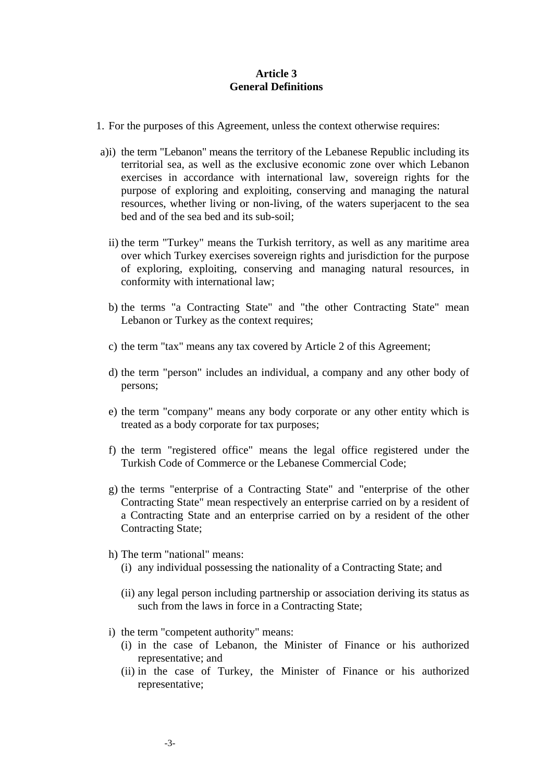### **Article 3 General Definitions**

- 1. For the purposes of this Agreement, unless the context otherwise requires:
- a)i) the term "Lebanon" means the territory of the Lebanese Republic including its territorial sea, as well as the exclusive economic zone over which Lebanon exercises in accordance with international law, sovereign rights for the purpose of exploring and exploiting, conserving and managing the natural resources, whether living or non-living, of the waters superjacent to the sea bed and of the sea bed and its sub-soil;
	- ii) the term "Turkey" means the Turkish territory, as well as any maritime area over which Turkey exercises sovereign rights and jurisdiction for the purpose of exploring, exploiting, conserving and managing natural resources, in conformity with international law;
	- b) the terms "a Contracting State" and "the other Contracting State" mean Lebanon or Turkey as the context requires:
	- c) the term "tax" means any tax covered by Article 2 of this Agreement;
	- d) the term "person" includes an individual, a company and any other body of persons;
	- e) the term "company" means any body corporate or any other entity which is treated as a body corporate for tax purposes;
	- f) the term "registered office" means the legal office registered under the Turkish Code of Commerce or the Lebanese Commercial Code;
	- g) the terms "enterprise of a Contracting State" and "enterprise of the other Contracting State" mean respectively an enterprise carried on by a resident of a Contracting State and an enterprise carried on by a resident of the other Contracting State;
	- h) The term "national" means:
		- (i) any individual possessing the nationality of a Contracting State; and
		- (ii) any legal person including partnership or association deriving its status as such from the laws in force in a Contracting State;
	- i) the term "competent authority" means:
		- (i) in the case of Lebanon, the Minister of Finance or his authorized representative; and
		- (ii) in the case of Turkey, the Minister of Finance or his authorized representative;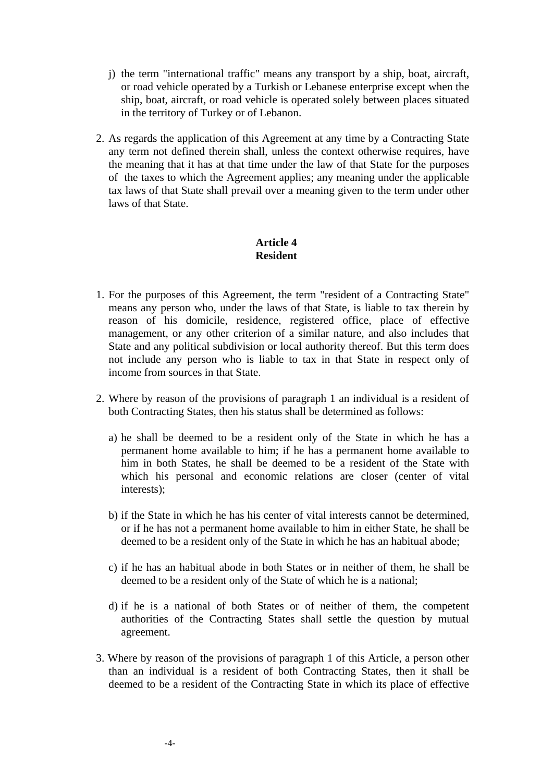- j) the term "international traffic" means any transport by a ship, boat, aircraft, or road vehicle operated by a Turkish or Lebanese enterprise except when the ship, boat, aircraft, or road vehicle is operated solely between places situated in the territory of Turkey or of Lebanon.
- 2. As regards the application of this Agreement at any time by a Contracting State any term not defined therein shall, unless the context otherwise requires, have the meaning that it has at that time under the law of that State for the purposes of the taxes to which the Agreement applies; any meaning under the applicable tax laws of that State shall prevail over a meaning given to the term under other laws of that State.

## **Article 4 Resident**

- 1. For the purposes of this Agreement, the term "resident of a Contracting State" means any person who, under the laws of that State, is liable to tax therein by reason of his domicile, residence, registered office*,* place of effective management, or any other criterion of a similar nature, and also includes that State and any political subdivision or local authority thereof. But this term does not include any person who is liable to tax in that State in respect only of income from sources in that State.
- 2. Where by reason of the provisions of paragraph 1 an individual is a resident of both Contracting States, then his status shall be determined as follows:
	- a) he shall be deemed to be a resident only of the State in which he has a permanent home available to him; if he has a permanent home available to him in both States, he shall be deemed to be a resident of the State with which his personal and economic relations are closer (center of vital interests);
	- b) if the State in which he has his center of vital interests cannot be determined, or if he has not a permanent home available to him in either State, he shall be deemed to be a resident only of the State in which he has an habitual abode;
	- c) if he has an habitual abode in both States or in neither of them, he shall be deemed to be a resident only of the State of which he is a national;
	- d) if he is a national of both States or of neither of them, the competent authorities of the Contracting States shall settle the question by mutual agreement.
- 3. Where by reason of the provisions of paragraph 1 of this Article, a person other than an individual is a resident of both Contracting States, then it shall be deemed to be a resident of the Contracting State in which its place of effective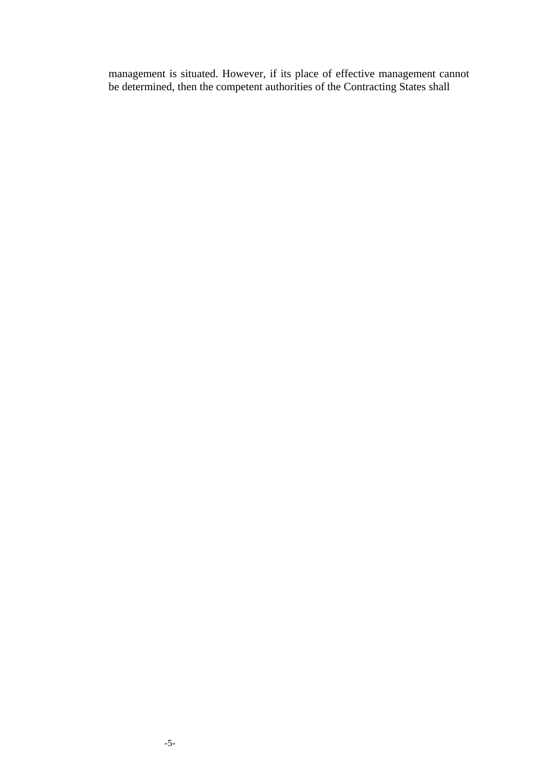management is situated. However, if its place of effective management cannot be determined, then the competent authorities of the Contracting States shall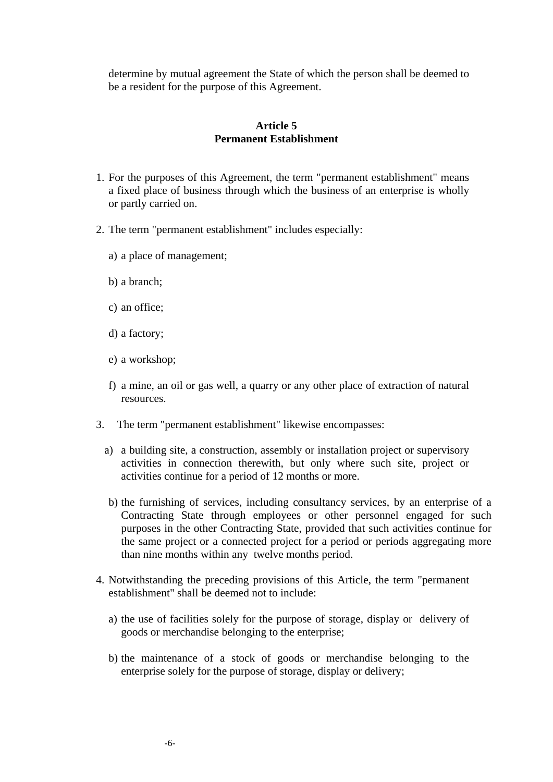determine by mutual agreement the State of which the person shall be deemed to be a resident for the purpose of this Agreement.

### **Article 5 Permanent Establishment**

- 1. For the purposes of this Agreement, the term "permanent establishment" means a fixed place of business through which the business of an enterprise is wholly or partly carried on.
- 2. The term "permanent establishment" includes especially:
	- a) a place of management;
	- b) a branch;
	- c) an office;
	- d) a factory;
	- e) a workshop;
	- f) a mine, an oil or gas well, a quarry or any other place of extraction of natural resources.
- 3. The term "permanent establishment" likewise encompasses:
	- a) a building site, a construction, assembly or installation project or supervisory activities in connection therewith, but only where such site, project or activities continue for a period of 12 months or more.
	- b) the furnishing of services, including consultancy services, by an enterprise of a Contracting State through employees or other personnel engaged for such purposes in the other Contracting State, provided that such activities continue for the same project or a connected project for a period or periods aggregating more than nine months within any twelve months period.
- 4. Notwithstanding the preceding provisions of this Article, the term "permanent establishment" shall be deemed not to include:
	- a) the use of facilities solely for the purpose of storage, display or delivery of goods or merchandise belonging to the enterprise;
	- b) the maintenance of a stock of goods or merchandise belonging to the enterprise solely for the purpose of storage, display or delivery;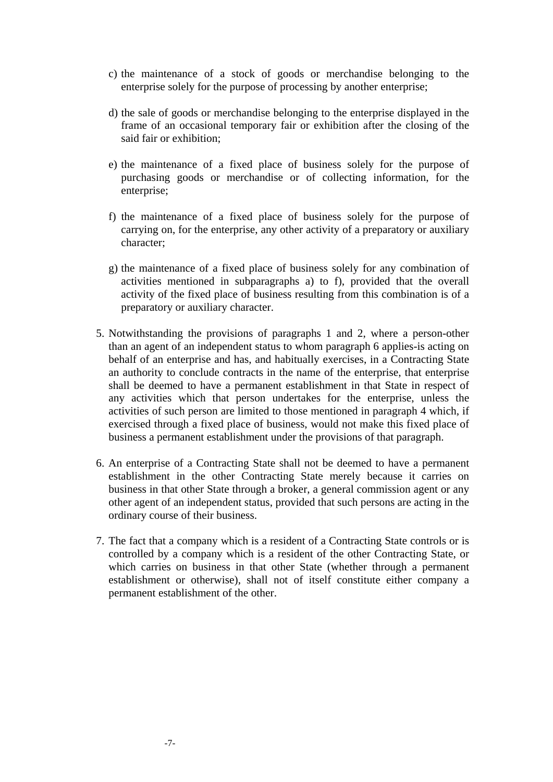- c) the maintenance of a stock of goods or merchandise belonging to the enterprise solely for the purpose of processing by another enterprise;
- d) the sale of goods or merchandise belonging to the enterprise displayed in the frame of an occasional temporary fair or exhibition after the closing of the said fair or exhibition;
- e) the maintenance of a fixed place of business solely for the purpose of purchasing goods or merchandise or of collecting information, for the enterprise;
- f) the maintenance of a fixed place of business solely for the purpose of carrying on, for the enterprise, any other activity of a preparatory or auxiliary character;
- g) the maintenance of a fixed place of business solely for any combination of activities mentioned in subparagraphs a) to f), provided that the overall activity of the fixed place of business resulting from this combination is of a preparatory or auxiliary character.
- 5. Notwithstanding the provisions of paragraphs 1 and 2, where a person-other than an agent of an independent status to whom paragraph 6 applies-is acting on behalf of an enterprise and has, and habitually exercises, in a Contracting State an authority to conclude contracts in the name of the enterprise, that enterprise shall be deemed to have a permanent establishment in that State in respect of any activities which that person undertakes for the enterprise, unless the activities of such person are limited to those mentioned in paragraph 4 which, if exercised through a fixed place of business, would not make this fixed place of business a permanent establishment under the provisions of that paragraph.
- 6. An enterprise of a Contracting State shall not be deemed to have a permanent establishment in the other Contracting State merely because it carries on business in that other State through a broker, a general commission agent or any other agent of an independent status, provided that such persons are acting in the ordinary course of their business.
- 7. The fact that a company which is a resident of a Contracting State controls or is controlled by a company which is a resident of the other Contracting State, or which carries on business in that other State (whether through a permanent establishment or otherwise), shall not of itself constitute either company a permanent establishment of the other.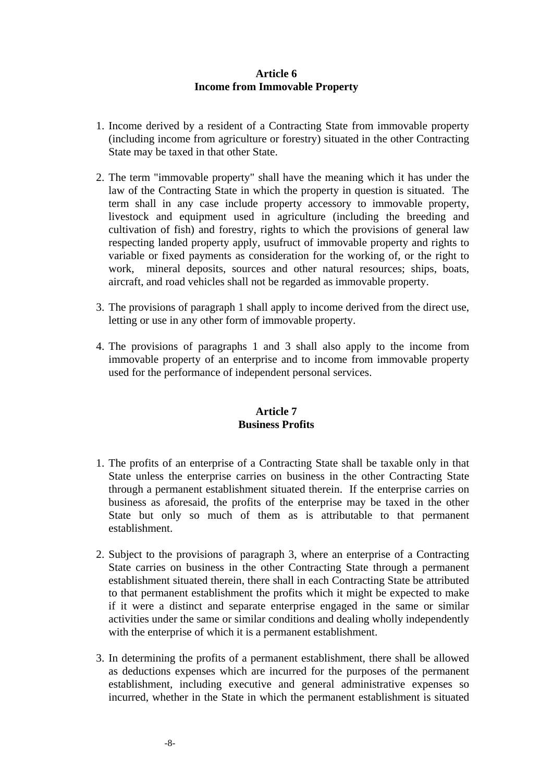### **Article 6 Income from Immovable Property**

- 1. Income derived by a resident of a Contracting State from immovable property (including income from agriculture or forestry) situated in the other Contracting State may be taxed in that other State.
- 2. The term "immovable property" shall have the meaning which it has under the law of the Contracting State in which the property in question is situated. The term shall in any case include property accessory to immovable property, livestock and equipment used in agriculture (including the breeding and cultivation of fish) and forestry, rights to which the provisions of general law respecting landed property apply, usufruct of immovable property and rights to variable or fixed payments as consideration for the working of, or the right to work, mineral deposits, sources and other natural resources; ships, boats, aircraft, and road vehicles shall not be regarded as immovable property.
- 3. The provisions of paragraph 1 shall apply to income derived from the direct use, letting or use in any other form of immovable property.
- 4. The provisions of paragraphs 1 and 3 shall also apply to the income from immovable property of an enterprise and to income from immovable property used for the performance of independent personal services.

## **Article 7 Business Profits**

- 1. The profits of an enterprise of a Contracting State shall be taxable only in that State unless the enterprise carries on business in the other Contracting State through a permanent establishment situated therein. If the enterprise carries on business as aforesaid, the profits of the enterprise may be taxed in the other State but only so much of them as is attributable to that permanent establishment.
- 2. Subject to the provisions of paragraph 3, where an enterprise of a Contracting State carries on business in the other Contracting State through a permanent establishment situated therein, there shall in each Contracting State be attributed to that permanent establishment the profits which it might be expected to make if it were a distinct and separate enterprise engaged in the same or similar activities under the same or similar conditions and dealing wholly independently with the enterprise of which it is a permanent establishment.
- 3. In determining the profits of a permanent establishment, there shall be allowed as deductions expenses which are incurred for the purposes of the permanent establishment, including executive and general administrative expenses so incurred, whether in the State in which the permanent establishment is situated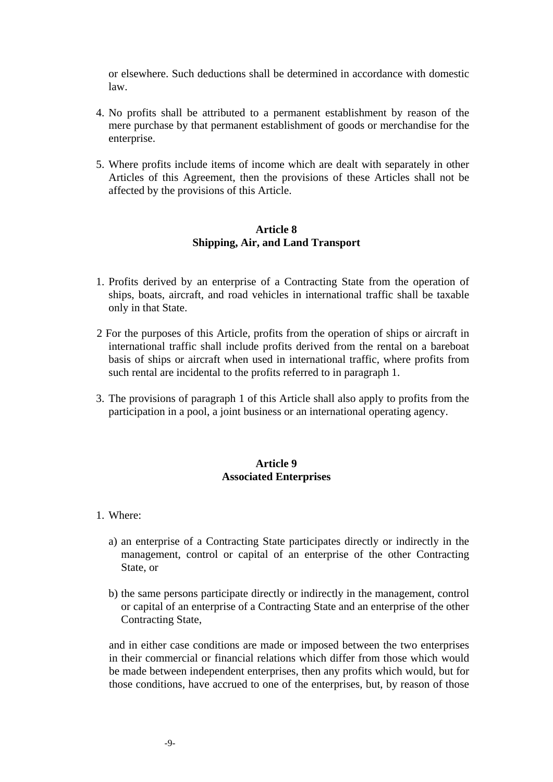or elsewhere. Such deductions shall be determined in accordance with domestic law.

- 4. No profits shall be attributed to a permanent establishment by reason of the mere purchase by that permanent establishment of goods or merchandise for the enterprise.
- 5. Where profits include items of income which are dealt with separately in other Articles of this Agreement, then the provisions of these Articles shall not be affected by the provisions of this Article.

### **Article 8 Shipping, Air, and Land Transport**

- 1. Profits derived by an enterprise of a Contracting State from the operation of ships, boats, aircraft, and road vehicles in international traffic shall be taxable only in that State.
- 2 For the purposes of this Article, profits from the operation of ships or aircraft in international traffic shall include profits derived from the rental on a bareboat basis of ships or aircraft when used in international traffic, where profits from such rental are incidental to the profits referred to in paragraph 1.
- 3. The provisions of paragraph 1 of this Article shall also apply to profits from the participation in a pool, a joint business or an international operating agency.

## **Article 9 Associated Enterprises**

- 1. Where:
	- a) an enterprise of a Contracting State participates directly or indirectly in the management, control or capital of an enterprise of the other Contracting State, or
	- b) the same persons participate directly or indirectly in the management, control or capital of an enterprise of a Contracting State and an enterprise of the other Contracting State,

and in either case conditions are made or imposed between the two enterprises in their commercial or financial relations which differ from those which would be made between independent enterprises, then any profits which would, but for those conditions, have accrued to one of the enterprises, but, by reason of those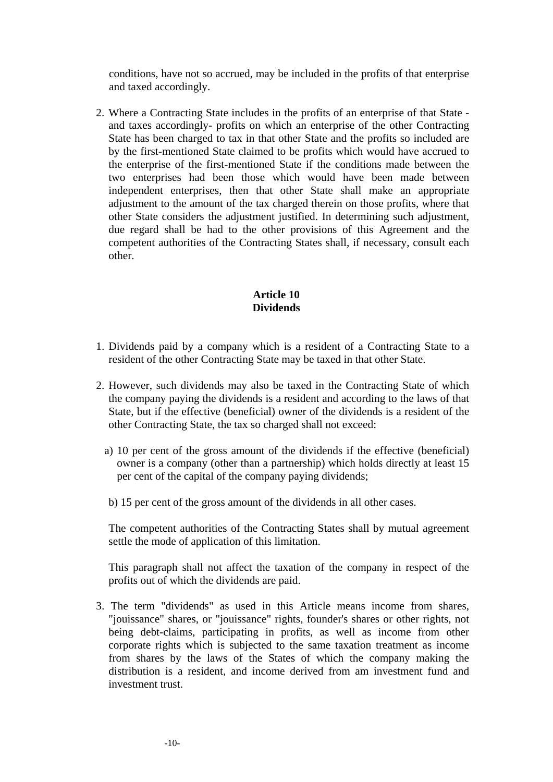conditions, have not so accrued, may be included in the profits of that enterprise and taxed accordingly.

 2. Where a Contracting State includes in the profits of an enterprise of that State and taxes accordingly- profits on which an enterprise of the other Contracting State has been charged to tax in that other State and the profits so included are by the first-mentioned State claimed to be profits which would have accrued to the enterprise of the first-mentioned State if the conditions made between the two enterprises had been those which would have been made between independent enterprises, then that other State shall make an appropriate adjustment to the amount of the tax charged therein on those profits, where that other State considers the adjustment justified. In determining such adjustment, due regard shall be had to the other provisions of this Agreement and the competent authorities of the Contracting States shall, if necessary, consult each other.

# **Article 10 Dividends**

- 1. Dividends paid by a company which is a resident of a Contracting State to a resident of the other Contracting State may be taxed in that other State.
- 2. However, such dividends may also be taxed in the Contracting State of which the company paying the dividends is a resident and according to the laws of that State, but if the effective (beneficial) owner of the dividends is a resident of the other Contracting State, the tax so charged shall not exceed:
	- a) 10 per cent of the gross amount of the dividends if the effective (beneficial) owner is a company (other than a partnership) which holds directly at least 15 per cent of the capital of the company paying dividends;
	- b) 15 per cent of the gross amount of the dividends in all other cases.

 The competent authorities of the Contracting States shall by mutual agreement settle the mode of application of this limitation.

 This paragraph shall not affect the taxation of the company in respect of the profits out of which the dividends are paid.

 3. The term "dividends" as used in this Article means income from shares, "jouissance" shares, or "jouissance" rights, founder's shares or other rights, not being debt-claims, participating in profits, as well as income from other corporate rights which is subjected to the same taxation treatment as income from shares by the laws of the States of which the company making the distribution is a resident, and income derived from am investment fund and investment trust.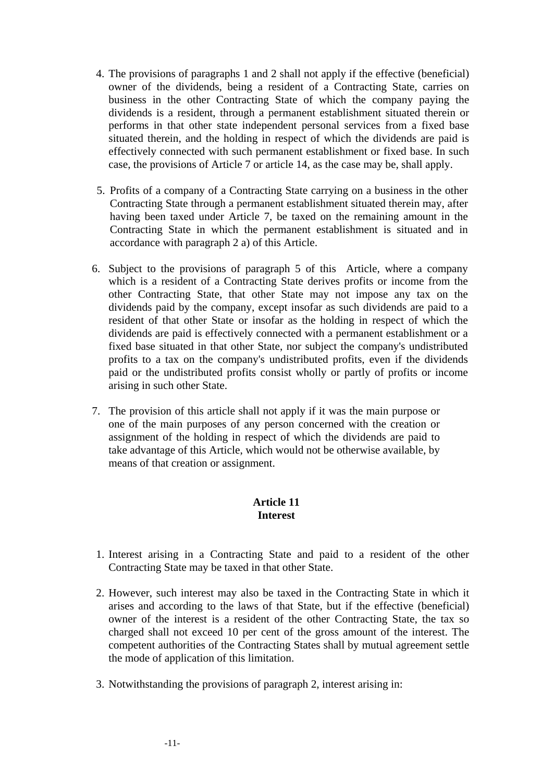- 4. The provisions of paragraphs 1 and 2 shall not apply if the effective (beneficial) owner of the dividends, being a resident of a Contracting State, carries on business in the other Contracting State of which the company paying the dividends is a resident, through a permanent establishment situated therein or performs in that other state independent personal services from a fixed base situated therein, and the holding in respect of which the dividends are paid is effectively connected with such permanent establishment or fixed base. In such case, the provisions of Article 7 or article 14, as the case may be, shall apply.
- 5. Profits of a company of a Contracting State carrying on a business in the other Contracting State through a permanent establishment situated therein may, after having been taxed under Article 7, be taxed on the remaining amount in the Contracting State in which the permanent establishment is situated and in accordance with paragraph 2 a) of this Article.
- 6. Subject to the provisions of paragraph 5 of this Article, where a company which is a resident of a Contracting State derives profits or income from the other Contracting State, that other State may not impose any tax on the dividends paid by the company, except insofar as such dividends are paid to a resident of that other State or insofar as the holding in respect of which the dividends are paid is effectively connected with a permanent establishment or a fixed base situated in that other State, nor subject the company's undistributed profits to a tax on the company's undistributed profits, even if the dividends paid or the undistributed profits consist wholly or partly of profits or income arising in such other State.
- 7. The provision of this article shall not apply if it was the main purpose or one of the main purposes of any person concerned with the creation or assignment of the holding in respect of which the dividends are paid to take advantage of this Article, which would not be otherwise available, by means of that creation or assignment.

## **Article 11 Interest**

- 1. Interest arising in a Contracting State and paid to a resident of the other Contracting State may be taxed in that other State.
- 2. However, such interest may also be taxed in the Contracting State in which it arises and according to the laws of that State, but if the effective (beneficial) owner of the interest is a resident of the other Contracting State, the tax so charged shall not exceed 10 per cent of the gross amount of the interest. The competent authorities of the Contracting States shall by mutual agreement settle the mode of application of this limitation.
- 3. Notwithstanding the provisions of paragraph 2, interest arising in: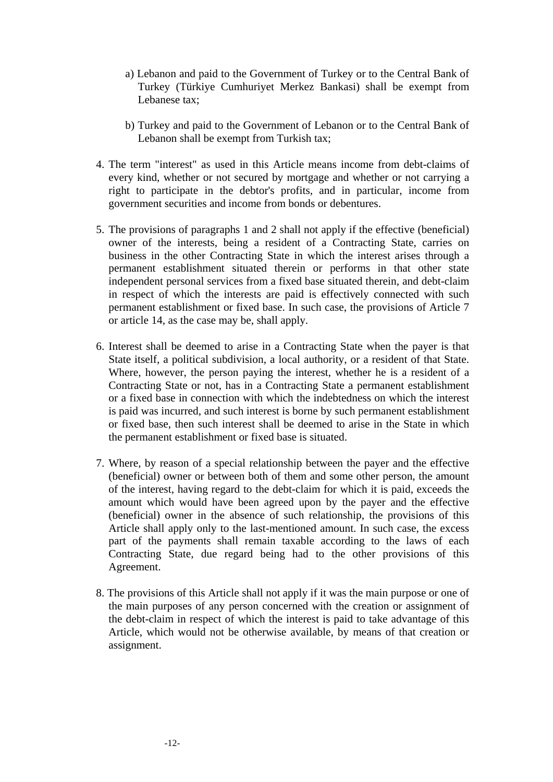- a) Lebanon and paid to the Government of Turkey or to the Central Bank of Turkey (Türkiye Cumhuriyet Merkez Bankasi) shall be exempt from Lebanese tax;
- b) Turkey and paid to the Government of Lebanon or to the Central Bank of Lebanon shall be exempt from Turkish tax;
- 4. The term "interest" as used in this Article means income from debt-claims of every kind, whether or not secured by mortgage and whether or not carrying a right to participate in the debtor's profits, and in particular, income from government securities and income from bonds or debentures.
- 5. The provisions of paragraphs 1 and 2 shall not apply if the effective (beneficial) owner of the interests, being a resident of a Contracting State, carries on business in the other Contracting State in which the interest arises through a permanent establishment situated therein or performs in that other state independent personal services from a fixed base situated therein, and debt-claim in respect of which the interests are paid is effectively connected with such permanent establishment or fixed base. In such case, the provisions of Article 7 or article 14, as the case may be, shall apply.
- 6. Interest shall be deemed to arise in a Contracting State when the payer is that State itself, a political subdivision, a local authority, or a resident of that State. Where, however, the person paying the interest, whether he is a resident of a Contracting State or not, has in a Contracting State a permanent establishment or a fixed base in connection with which the indebtedness on which the interest is paid was incurred, and such interest is borne by such permanent establishment or fixed base, then such interest shall be deemed to arise in the State in which the permanent establishment or fixed base is situated.
- 7. Where, by reason of a special relationship between the payer and the effective (beneficial) owner or between both of them and some other person, the amount of the interest, having regard to the debt-claim for which it is paid, exceeds the amount which would have been agreed upon by the payer and the effective (beneficial) owner in the absence of such relationship, the provisions of this Article shall apply only to the last-mentioned amount. In such case, the excess part of the payments shall remain taxable according to the laws of each Contracting State, due regard being had to the other provisions of this Agreement.
- 8. The provisions of this Article shall not apply if it was the main purpose or one of the main purposes of any person concerned with the creation or assignment of the debt-claim in respect of which the interest is paid to take advantage of this Article, which would not be otherwise available, by means of that creation or assignment.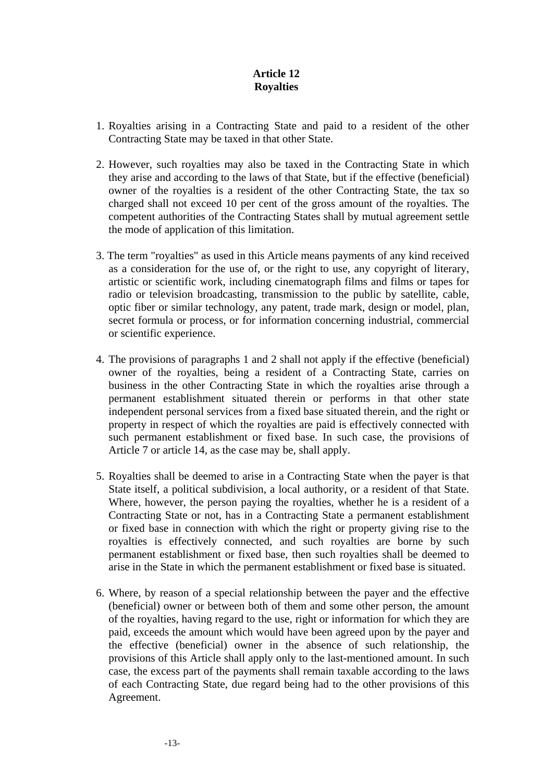# **Article 12 Royalties**

- 1. Royalties arising in a Contracting State and paid to a resident of the other Contracting State may be taxed in that other State.
- 2. However, such royalties may also be taxed in the Contracting State in which they arise and according to the laws of that State, but if the effective (beneficial) owner of the royalties is a resident of the other Contracting State, the tax so charged shall not exceed 10 per cent of the gross amount of the royalties. The competent authorities of the Contracting States shall by mutual agreement settle the mode of application of this limitation.
- 3. The term "royalties" as used in this Article means payments of any kind received as a consideration for the use of, or the right to use, any copyright of literary, artistic or scientific work, including cinematograph films and films or tapes for radio or television broadcasting, transmission to the public by satellite, cable, optic fiber or similar technology, any patent, trade mark, design or model, plan, secret formula or process, or for information concerning industrial, commercial or scientific experience.
- 4. The provisions of paragraphs 1 and 2 shall not apply if the effective (beneficial) owner of the royalties, being a resident of a Contracting State, carries on business in the other Contracting State in which the royalties arise through a permanent establishment situated therein or performs in that other state independent personal services from a fixed base situated therein, and the right or property in respect of which the royalties are paid is effectively connected with such permanent establishment or fixed base. In such case, the provisions of Article 7 or article 14, as the case may be, shall apply.
- 5. Royalties shall be deemed to arise in a Contracting State when the payer is that State itself, a political subdivision, a local authority, or a resident of that State. Where, however, the person paying the royalties, whether he is a resident of a Contracting State or not, has in a Contracting State a permanent establishment or fixed base in connection with which the right or property giving rise to the royalties is effectively connected, and such royalties are borne by such permanent establishment or fixed base, then such royalties shall be deemed to arise in the State in which the permanent establishment or fixed base is situated.
- 6. Where, by reason of a special relationship between the payer and the effective (beneficial) owner or between both of them and some other person, the amount of the royalties, having regard to the use, right or information for which they are paid, exceeds the amount which would have been agreed upon by the payer and the effective (beneficial) owner in the absence of such relationship, the provisions of this Article shall apply only to the last-mentioned amount. In such case, the excess part of the payments shall remain taxable according to the laws of each Contracting State, due regard being had to the other provisions of this Agreement.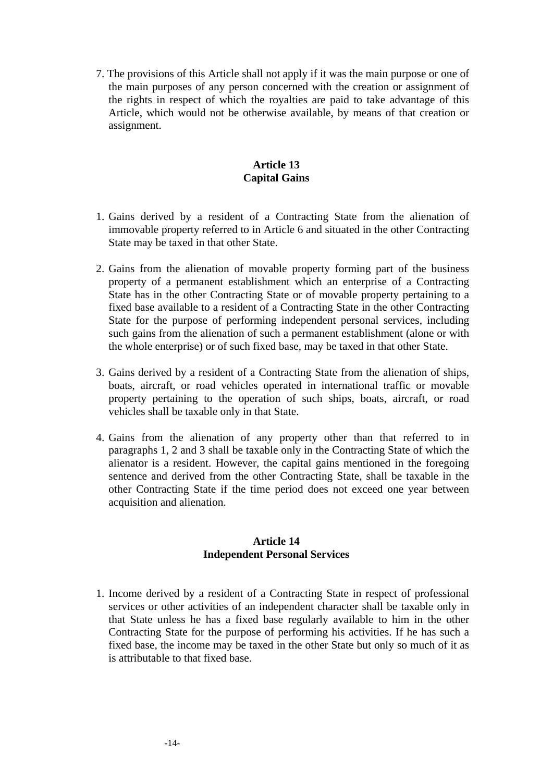7. The provisions of this Article shall not apply if it was the main purpose or one of the main purposes of any person concerned with the creation or assignment of the rights in respect of which the royalties are paid to take advantage of this Article, which would not be otherwise available, by means of that creation or assignment.

# **Article 13 Capital Gains**

- 1. Gains derived by a resident of a Contracting State from the alienation of immovable property referred to in Article 6 and situated in the other Contracting State may be taxed in that other State.
- 2. Gains from the alienation of movable property forming part of the business property of a permanent establishment which an enterprise of a Contracting State has in the other Contracting State or of movable property pertaining to a fixed base available to a resident of a Contracting State in the other Contracting State for the purpose of performing independent personal services, including such gains from the alienation of such a permanent establishment (alone or with the whole enterprise) or of such fixed base, may be taxed in that other State.
- 3. Gains derived by a resident of a Contracting State from the alienation of ships, boats, aircraft, or road vehicles operated in international traffic or movable property pertaining to the operation of such ships, boats, aircraft, or road vehicles shall be taxable only in that State.
- 4. Gains from the alienation of any property other than that referred to in paragraphs 1, 2 and 3 shall be taxable only in the Contracting State of which the alienator is a resident. However, the capital gains mentioned in the foregoing sentence and derived from the other Contracting State, shall be taxable in the other Contracting State if the time period does not exceed one year between acquisition and alienation.

### **Article 14 Independent Personal Services**

 1. Income derived by a resident of a Contracting State in respect of professional services or other activities of an independent character shall be taxable only in that State unless he has a fixed base regularly available to him in the other Contracting State for the purpose of performing his activities. If he has such a fixed base, the income may be taxed in the other State but only so much of it as is attributable to that fixed base.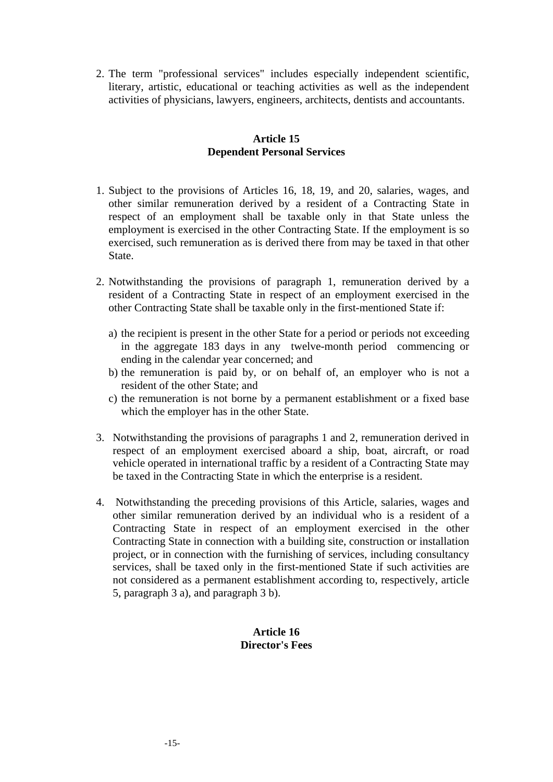2. The term "professional services" includes especially independent scientific, literary, artistic, educational or teaching activities as well as the independent activities of physicians, lawyers, engineers, architects, dentists and accountants.

### **Article 15 Dependent Personal Services**

- 1. Subject to the provisions of Articles 16, 18, 19, and 20, salaries, wages, and other similar remuneration derived by a resident of a Contracting State in respect of an employment shall be taxable only in that State unless the employment is exercised in the other Contracting State. If the employment is so exercised, such remuneration as is derived there from may be taxed in that other State.
- 2. Notwithstanding the provisions of paragraph 1, remuneration derived by a resident of a Contracting State in respect of an employment exercised in the other Contracting State shall be taxable only in the first-mentioned State if:
	- a) the recipient is present in the other State for a period or periods not exceeding in the aggregate 183 days in any twelve-month period commencing or ending in the calendar year concerned; and
	- b) the remuneration is paid by, or on behalf of, an employer who is not a resident of the other State; and
	- c) the remuneration is not borne by a permanent establishment or a fixed base which the employer has in the other State.
- 3. Notwithstanding the provisions of paragraphs 1 and 2, remuneration derived in respect of an employment exercised aboard a ship, boat, aircraft, or road vehicle operated in international traffic by a resident of a Contracting State may be taxed in the Contracting State in which the enterprise is a resident.
- 4. Notwithstanding the preceding provisions of this Article, salaries, wages and other similar remuneration derived by an individual who is a resident of a Contracting State in respect of an employment exercised in the other Contracting State in connection with a building site, construction or installation project, or in connection with the furnishing of services, including consultancy services, shall be taxed only in the first-mentioned State if such activities are not considered as a permanent establishment according to, respectively, article 5, paragraph 3 a), and paragraph 3 b).

## **Article 16 Director's Fees**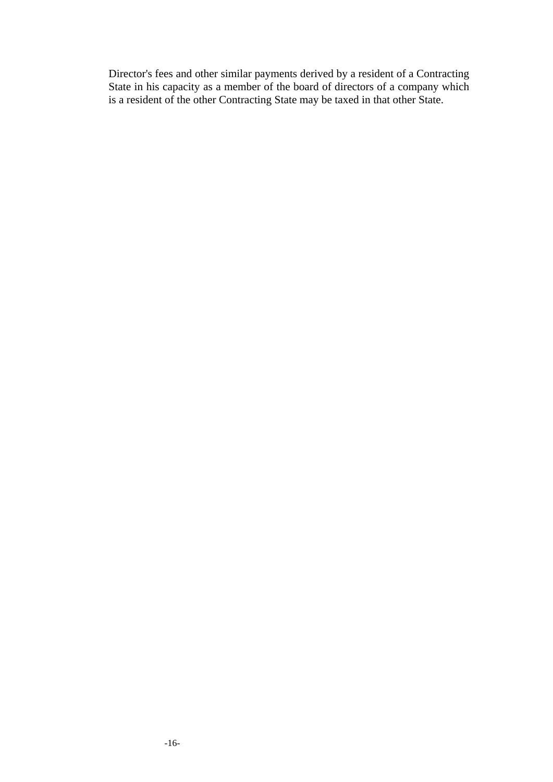Director's fees and other similar payments derived by a resident of a Contracting State in his capacity as a member of the board of directors of a company which is a resident of the other Contracting State may be taxed in that other State.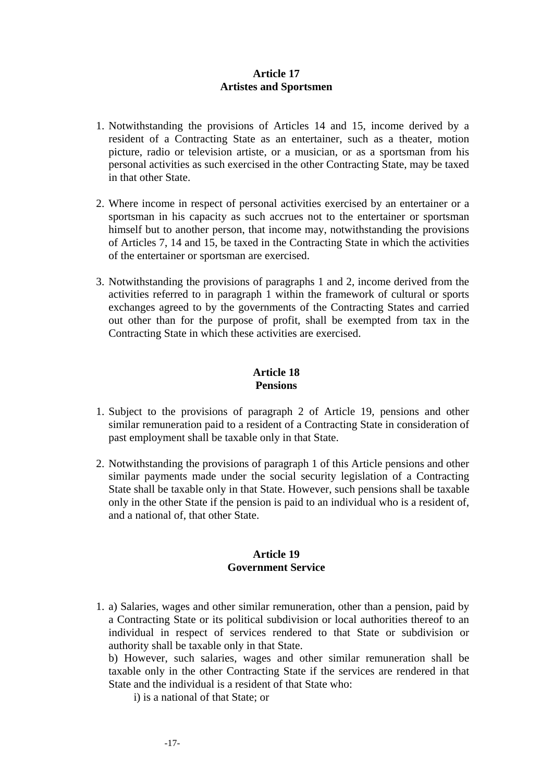### **Article 17 Artistes and Sportsmen**

- 1. Notwithstanding the provisions of Articles 14 and 15, income derived by a resident of a Contracting State as an entertainer, such as a theater, motion picture, radio or television artiste, or a musician, or as a sportsman from his personal activities as such exercised in the other Contracting State, may be taxed in that other State.
- 2. Where income in respect of personal activities exercised by an entertainer or a sportsman in his capacity as such accrues not to the entertainer or sportsman himself but to another person, that income may, notwithstanding the provisions of Articles 7, 14 and 15, be taxed in the Contracting State in which the activities of the entertainer or sportsman are exercised.
- 3. Notwithstanding the provisions of paragraphs 1 and 2, income derived from the activities referred to in paragraph 1 within the framework of cultural or sports exchanges agreed to by the governments of the Contracting States and carried out other than for the purpose of profit, shall be exempted from tax in the Contracting State in which these activities are exercised.

## **Article 18 Pensions**

- 1. Subject to the provisions of paragraph 2 of Article 19, pensions and other similar remuneration paid to a resident of a Contracting State in consideration of past employment shall be taxable only in that State.
- 2. Notwithstanding the provisions of paragraph 1 of this Article pensions and other similar payments made under the social security legislation of a Contracting State shall be taxable only in that State. However, such pensions shall be taxable only in the other State if the pension is paid to an individual who is a resident of, and a national of, that other State.

## **Article 19 Government Service**

 1. a) Salaries, wages and other similar remuneration, other than a pension, paid by a Contracting State or its political subdivision or local authorities thereof to an individual in respect of services rendered to that State or subdivision or authority shall be taxable only in that State.

 b) However, such salaries, wages and other similar remuneration shall be taxable only in the other Contracting State if the services are rendered in that State and the individual is a resident of that State who:

i) is a national of that State; or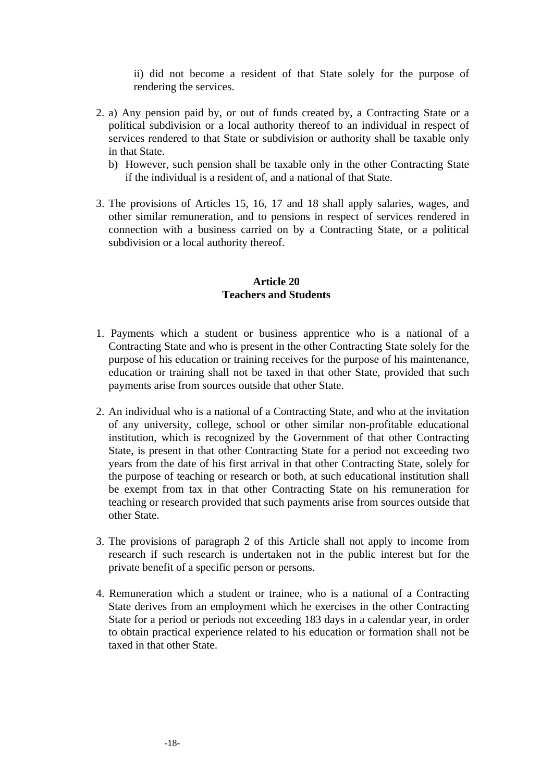ii) did not become a resident of that State solely for the purpose of rendering the services.

- 2. a) Any pension paid by, or out of funds created by, a Contracting State or a political subdivision or a local authority thereof to an individual in respect of services rendered to that State or subdivision or authority shall be taxable only in that State.
	- b) However, such pension shall be taxable only in the other Contracting State if the individual is a resident of, and a national of that State.
- 3. The provisions of Articles 15, 16, 17 and 18 shall apply salaries, wages, and other similar remuneration, and to pensions in respect of services rendered in connection with a business carried on by a Contracting State, or a political subdivision or a local authority thereof.

### **Article 20 Teachers and Students**

- 1. Payments which a student or business apprentice who is a national of a Contracting State and who is present in the other Contracting State solely for the purpose of his education or training receives for the purpose of his maintenance, education or training shall not be taxed in that other State, provided that such payments arise from sources outside that other State.
- 2. An individual who is a national of a Contracting State, and who at the invitation of any university, college, school or other similar non-profitable educational institution, which is recognized by the Government of that other Contracting State, is present in that other Contracting State for a period not exceeding two years from the date of his first arrival in that other Contracting State, solely for the purpose of teaching or research or both, at such educational institution shall be exempt from tax in that other Contracting State on his remuneration for teaching or research provided that such payments arise from sources outside that other State.
- 3. The provisions of paragraph 2 of this Article shall not apply to income from research if such research is undertaken not in the public interest but for the private benefit of a specific person or persons.
- 4. Remuneration which a student or trainee, who is a national of a Contracting State derives from an employment which he exercises in the other Contracting State for a period or periods not exceeding 183 days in a calendar year, in order to obtain practical experience related to his education or formation shall not be taxed in that other State.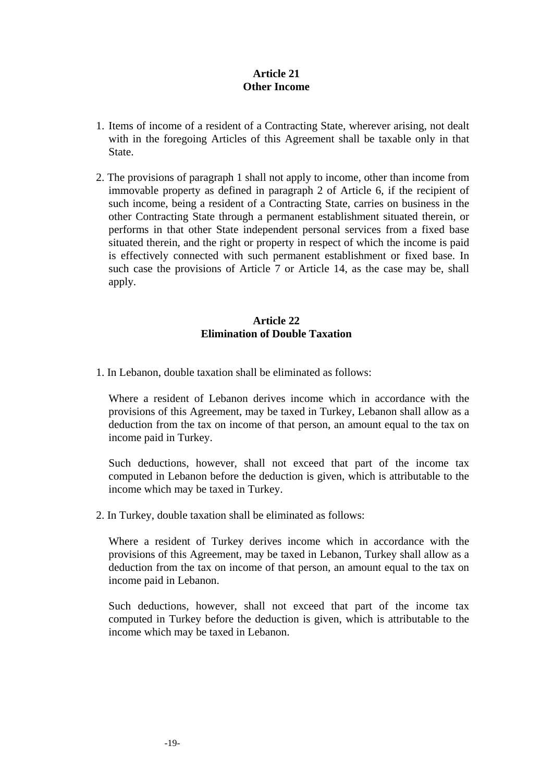## **Article 21 Other Income**

- 1. Items of income of a resident of a Contracting State, wherever arising, not dealt with in the foregoing Articles of this Agreement shall be taxable only in that State.
- 2. The provisions of paragraph 1 shall not apply to income, other than income from immovable property as defined in paragraph 2 of Article 6, if the recipient of such income, being a resident of a Contracting State, carries on business in the other Contracting State through a permanent establishment situated therein, or performs in that other State independent personal services from a fixed base situated therein, and the right or property in respect of which the income is paid is effectively connected with such permanent establishment or fixed base. In such case the provisions of Article 7 or Article 14, as the case may be, shall apply.

## **Article 22 Elimination of Double Taxation**

1. In Lebanon, double taxation shall be eliminated as follows:

Where a resident of Lebanon derives income which in accordance with the provisions of this Agreement, may be taxed in Turkey, Lebanon shall allow as a deduction from the tax on income of that person, an amount equal to the tax on income paid in Turkey.

Such deductions, however, shall not exceed that part of the income tax computed in Lebanon before the deduction is given, which is attributable to the income which may be taxed in Turkey.

2. In Turkey, double taxation shall be eliminated as follows:

Where a resident of Turkey derives income which in accordance with the provisions of this Agreement, may be taxed in Lebanon, Turkey shall allow as a deduction from the tax on income of that person, an amount equal to the tax on income paid in Lebanon.

Such deductions, however, shall not exceed that part of the income tax computed in Turkey before the deduction is given, which is attributable to the income which may be taxed in Lebanon.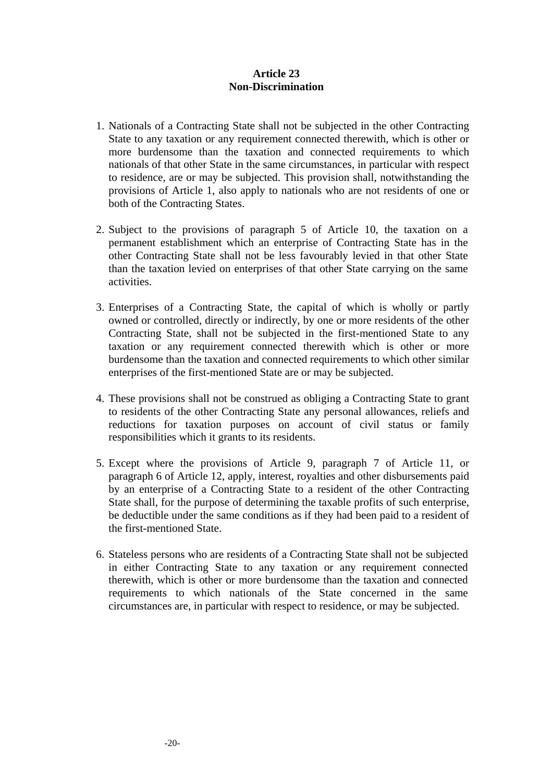## **Article 23 Non-Discrimination**

- 1. Nationals of a Contracting State shall not be subjected in the other Contracting State to any taxation or any requirement connected therewith, which is other or more burdensome than the taxation and connected requirements to which nationals of that other State in the same circumstances, in particular with respect to residence, are or may be subjected. This provision shall, notwithstanding the provisions of Article 1, also apply to nationals who are not residents of one or both of the Contracting States.
- 2. Subject to the provisions of paragraph 5 of Article 10, the taxation on a permanent establishment which an enterprise of Contracting State has in the other Contracting State shall not be less favourably levied in that other State than the taxation levied on enterprises of that other State carrying on the same activities.
- 3. Enterprises of a Contracting State, the capital of which is wholly or partly owned or controlled, directly or indirectly, by one or more residents of the other Contracting State, shall not be subjected in the first-mentioned State to any taxation or any requirement connected therewith which is other or more burdensome than the taxation and connected requirements to which other similar enterprises of the first-mentioned State are or may be subjected.
- 4. These provisions shall not be construed as obliging a Contracting State to grant to residents of the other Contracting State any personal allowances, reliefs and reductions for taxation purposes on account of civil status or family responsibilities which it grants to its residents.
- 5. Except where the provisions of Article 9, paragraph 7 of Article 11, or paragraph 6 of Article 12, apply, interest, royalties and other disbursements paid by an enterprise of a Contracting State to a resident of the other Contracting State shall, for the purpose of determining the taxable profits of such enterprise, be deductible under the same conditions as if they had been paid to a resident of the first-mentioned State.
- 6. Stateless persons who are residents of a Contracting State shall not be subjected in either Contracting State to any taxation or any requirement connected therewith, which is other or more burdensome than the taxation and connected requirements to which nationals of the State concerned in the same circumstances are, in particular with respect to residence, or may be subjected.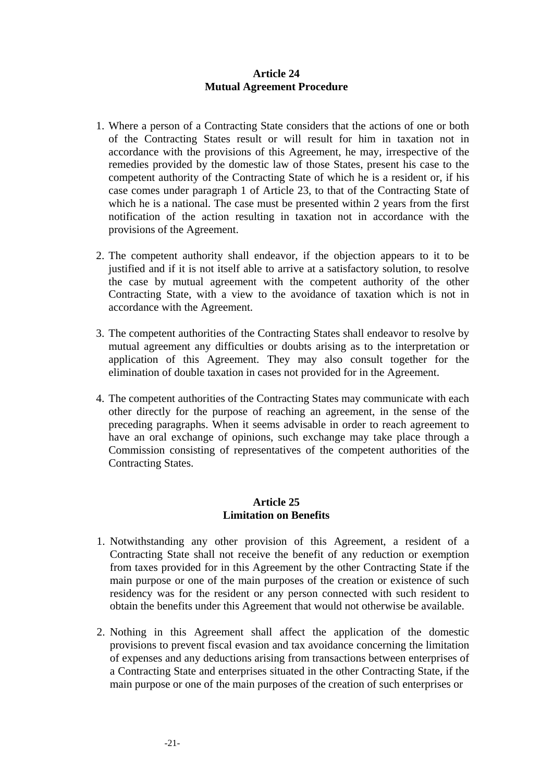### **Article 24 Mutual Agreement Procedure**

- 1. Where a person of a Contracting State considers that the actions of one or both of the Contracting States result or will result for him in taxation not in accordance with the provisions of this Agreement, he may, irrespective of the remedies provided by the domestic law of those States, present his case to the competent authority of the Contracting State of which he is a resident or, if his case comes under paragraph 1 of Article 23, to that of the Contracting State of which he is a national. The case must be presented within 2 years from the first notification of the action resulting in taxation not in accordance with the provisions of the Agreement.
- 2. The competent authority shall endeavor, if the objection appears to it to be justified and if it is not itself able to arrive at a satisfactory solution, to resolve the case by mutual agreement with the competent authority of the other Contracting State, with a view to the avoidance of taxation which is not in accordance with the Agreement.
- 3. The competent authorities of the Contracting States shall endeavor to resolve by mutual agreement any difficulties or doubts arising as to the interpretation or application of this Agreement. They may also consult together for the elimination of double taxation in cases not provided for in the Agreement.
- 4. The competent authorities of the Contracting States may communicate with each other directly for the purpose of reaching an agreement, in the sense of the preceding paragraphs. When it seems advisable in order to reach agreement to have an oral exchange of opinions, such exchange may take place through a Commission consisting of representatives of the competent authorities of the Contracting States.

### **Article 25 Limitation on Benefits**

- 1. Notwithstanding any other provision of this Agreement, a resident of a Contracting State shall not receive the benefit of any reduction or exemption from taxes provided for in this Agreement by the other Contracting State if the main purpose or one of the main purposes of the creation or existence of such residency was for the resident or any person connected with such resident to obtain the benefits under this Agreement that would not otherwise be available.
- 2. Nothing in this Agreement shall affect the application of the domestic provisions to prevent fiscal evasion and tax avoidance concerning the limitation of expenses and any deductions arising from transactions between enterprises of a Contracting State and enterprises situated in the other Contracting State, if the main purpose or one of the main purposes of the creation of such enterprises or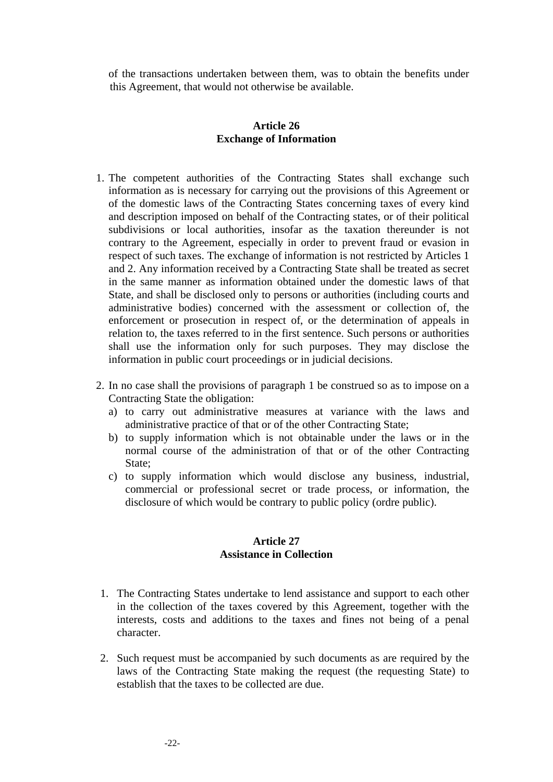of the transactions undertaken between them, was to obtain the benefits under this Agreement, that would not otherwise be available.

### **Article 26 Exchange of Information**

- 1. The competent authorities of the Contracting States shall exchange such information as is necessary for carrying out the provisions of this Agreement or of the domestic laws of the Contracting States concerning taxes of every kind and description imposed on behalf of the Contracting states, or of their political subdivisions or local authorities, insofar as the taxation thereunder is not contrary to the Agreement, especially in order to prevent fraud or evasion in respect of such taxes. The exchange of information is not restricted by Articles 1 and 2. Any information received by a Contracting State shall be treated as secret in the same manner as information obtained under the domestic laws of that State, and shall be disclosed only to persons or authorities (including courts and administrative bodies) concerned with the assessment or collection of, the enforcement or prosecution in respect of, or the determination of appeals in relation to, the taxes referred to in the first sentence. Such persons or authorities shall use the information only for such purposes. They may disclose the information in public court proceedings or in judicial decisions.
- 2. In no case shall the provisions of paragraph 1 be construed so as to impose on a Contracting State the obligation:
	- a) to carry out administrative measures at variance with the laws and administrative practice of that or of the other Contracting State;
	- b) to supply information which is not obtainable under the laws or in the normal course of the administration of that or of the other Contracting State;
	- c) to supply information which would disclose any business, industrial, commercial or professional secret or trade process, or information, the disclosure of which would be contrary to public policy (ordre public).

#### **Article 27 Assistance in Collection**

- 1. The Contracting States undertake to lend assistance and support to each other in the collection of the taxes covered by this Agreement, together with the interests, costs and additions to the taxes and fines not being of a penal character.
- 2. Such request must be accompanied by such documents as are required by the laws of the Contracting State making the request (the requesting State) to establish that the taxes to be collected are due.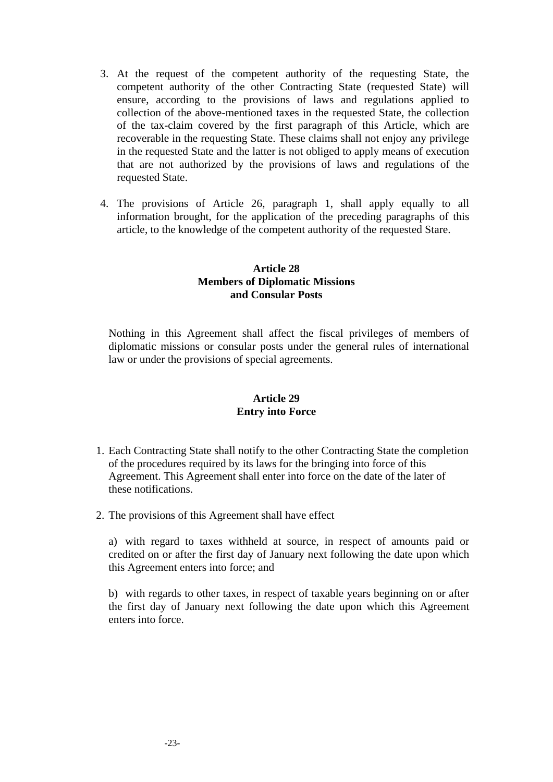- 3. At the request of the competent authority of the requesting State, the competent authority of the other Contracting State (requested State) will ensure, according to the provisions of laws and regulations applied to collection of the above-mentioned taxes in the requested State, the collection of the tax-claim covered by the first paragraph of this Article, which are recoverable in the requesting State. These claims shall not enjoy any privilege in the requested State and the latter is not obliged to apply means of execution that are not authorized by the provisions of laws and regulations of the requested State.
- 4. The provisions of Article 26, paragraph 1, shall apply equally to all information brought, for the application of the preceding paragraphs of this article, to the knowledge of the competent authority of the requested Stare.

### **Article 28 Members of Diplomatic Missions and Consular Posts**

 Nothing in this Agreement shall affect the fiscal privileges of members of diplomatic missions or consular posts under the general rules of international law or under the provisions of special agreements.

## **Article 29 Entry into Force**

- 1. Each Contracting State shall notify to the other Contracting State the completion of the procedures required by its laws for the bringing into force of this Agreement. This Agreement shall enter into force on the date of the later of these notifications.
- 2. The provisions of this Agreement shall have effect

 a) with regard to taxes withheld at source, in respect of amounts paid or credited on or after the first day of January next following the date upon which this Agreement enters into force; and

 b) with regards to other taxes, in respect of taxable years beginning on or after the first day of January next following the date upon which this Agreement enters into force.